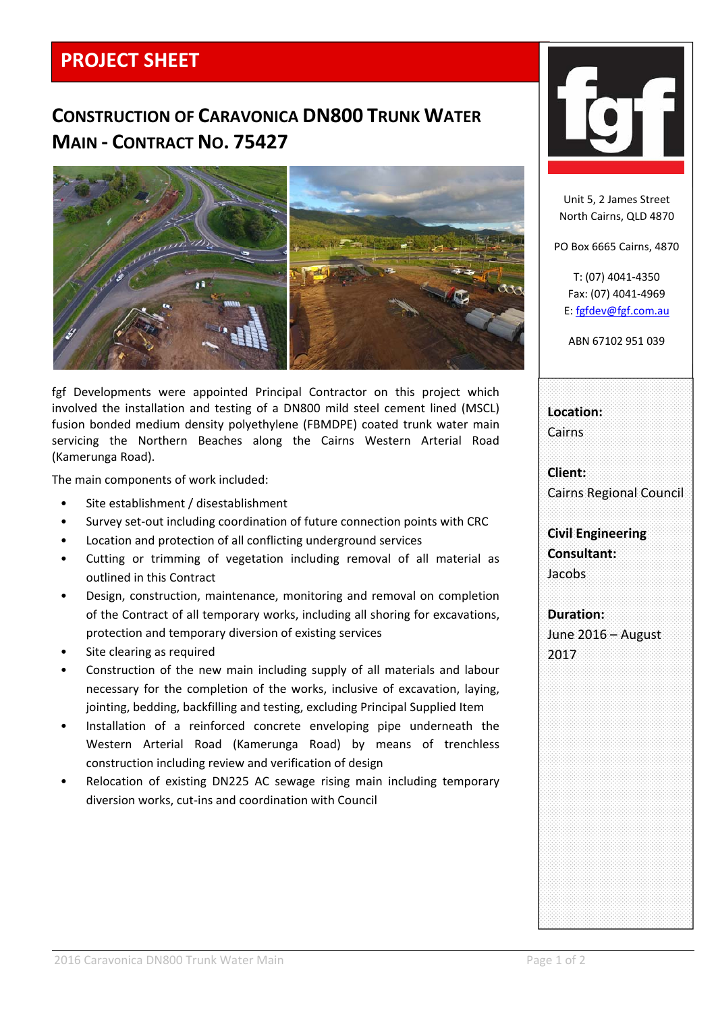## **PROJECT SHEET**

## **CONSTRUCTION OF CARAVONICA DN800 TRUNK WATER MAIN ‐ CONTRACT NO. 75427**



fgf Developments were appointed Principal Contractor on this project which involved the installation and testing of a DN800 mild steel cement lined (MSCL) fusion bonded medium density polyethylene (FBMDPE) coated trunk water main servicing the Northern Beaches along the Cairns Western Arterial Road (Kamerunga Road).

The main components of work included:

- Site establishment / disestablishment
- Survey set‐out including coordination of future connection points with CRC
- Location and protection of all conflicting underground services
- Cutting or trimming of vegetation including removal of all material as outlined in this Contract
- Design, construction, maintenance, monitoring and removal on completion of the Contract of all temporary works, including all shoring for excavations, protection and temporary diversion of existing services
- Site clearing as required
- Construction of the new main including supply of all materials and labour necessary for the completion of the works, inclusive of excavation, laying, jointing, bedding, backfilling and testing, excluding Principal Supplied Item
- Installation of a reinforced concrete enveloping pipe underneath the Western Arterial Road (Kamerunga Road) by means of trenchless construction including review and verification of design
- Relocation of existing DN225 AC sewage rising main including temporary diversion works, cut‐ins and coordination with Council



Unit 5, 2 James Street North Cairns, QLD 4870

PO Box 6665 Cairns, 4870

T: (07) 4041‐4350 Fax: (07) 4041‐4969 E: fgfdev@fgf.com.au

ABN 67102 951 039

**Location:** Cairns

**Client:** Cairns Regional Council

**Civil Engineering Consultant:** Jacobs

**Duration:** June 2016 – August 2017